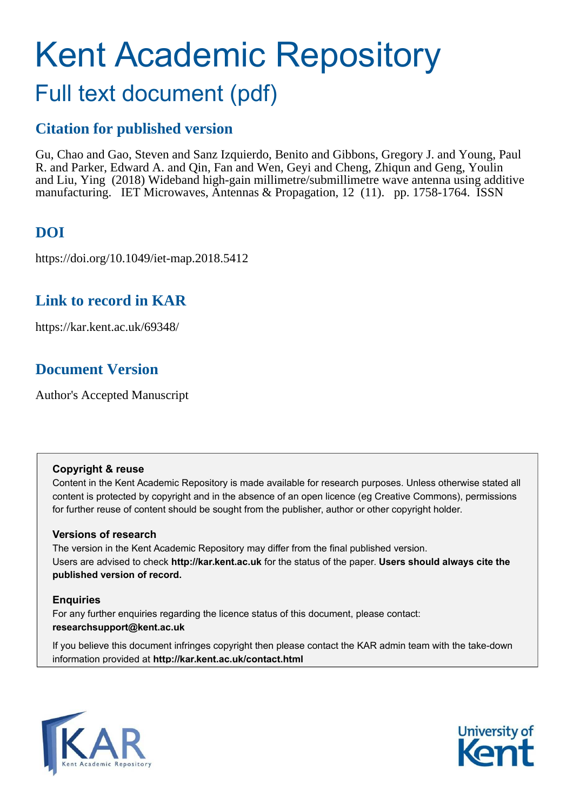# Kent Academic Repository Full text document (pdf)

# **Citation for published version**

Gu, Chao and Gao, Steven and Sanz Izquierdo, Benito and Gibbons, Gregory J. and Young, Paul R. and Parker, Edward A. and Qin, Fan and Wen, Geyi and Cheng, Zhiqun and Geng, Youlin and Liu, Ying (2018) Wideband high-gain millimetre/submillimetre wave antenna using additive manufacturing. IET Microwaves, Antennas & Propagation, 12 (11). pp. 1758-1764. ISSN

# **DOI**

https://doi.org/10.1049/iet-map.2018.5412

## **Link to record in KAR**

https://kar.kent.ac.uk/69348/

# **Document Version**

Author's Accepted Manuscript

## **Copyright & reuse**

Content in the Kent Academic Repository is made available for research purposes. Unless otherwise stated all content is protected by copyright and in the absence of an open licence (eg Creative Commons), permissions for further reuse of content should be sought from the publisher, author or other copyright holder.

## **Versions of research**

The version in the Kent Academic Repository may differ from the final published version. Users are advised to check **http://kar.kent.ac.uk** for the status of the paper. **Users should always cite the published version of record.**

## **Enquiries**

For any further enquiries regarding the licence status of this document, please contact: **researchsupport@kent.ac.uk**

If you believe this document infringes copyright then please contact the KAR admin team with the take-down information provided at **http://kar.kent.ac.uk/contact.html**



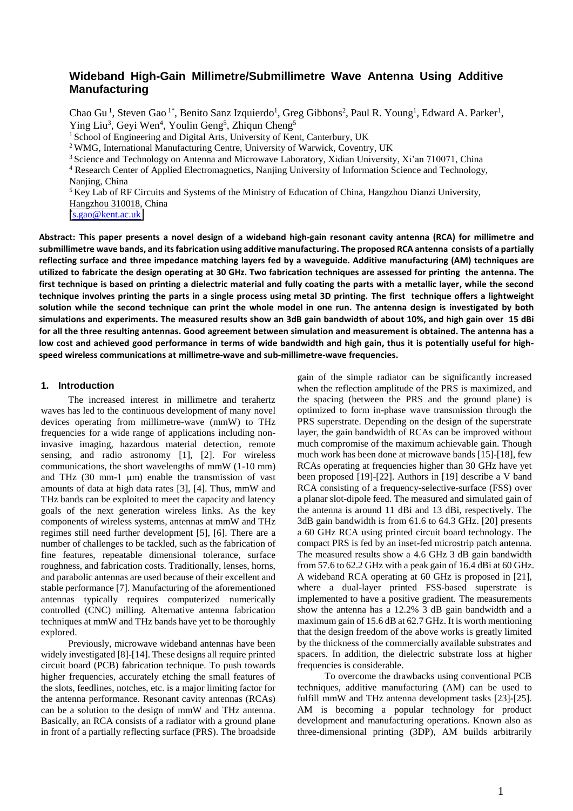### **Wideband High-Gain Millimetre/Submillimetre Wave Antenna Using Additive Manufacturing**

Chao Gu<sup>1</sup>, Steven Gao<sup>1\*</sup>, Benito Sanz Izquierdo<sup>1</sup>, Greg Gibbons<sup>2</sup>, Paul R. Young<sup>1</sup>, Edward A. Parker<sup>1</sup>, Ying Liu<sup>3</sup>, Geyi Wen<sup>4</sup>, Youlin Geng<sup>5</sup>, Zhiqun Cheng<sup>5</sup>

<sup>1</sup> School of Engineering and Digital Arts, University of Kent, Canterbury, UK

<sup>2</sup>WMG, International Manufacturing Centre, University of Warwick, Coventry, UK

<sup>3</sup> Science and Technology on Antenna and Microwave Laboratory, Xidian University, Xi'an 710071, China

<sup>4</sup> Research Center of Applied Electromagnetics, Nanjing University of Information Science and Technology, Naniing, China

<sup>5</sup>Key Lab of RF Circuits and Systems of the Ministry of Education of China, Hangzhou Dianzi University,

Hangzhou 310018, China

\* [s.gao@kent.ac.uk](mailto:s.gao@kent.ac.uk)

**Abstract: This paper presents a novel design of a wideband high-gain resonant cavity antenna (RCA) for millimetre and submillimetre wave bands, and its fabrication using additive manufacturing. The proposed RCA antenna consists of a partially reflecting surface and three impedance matching layers fed by a waveguide. Additive manufacturing (AM) techniques are utilized to fabricate the design operating at 30 GHz. Two fabrication techniques are assessed for printing the antenna. The first technique is based on printing a dielectric material and fully coating the parts with a metallic layer, while the second technique involves printing the parts in a single process using metal 3D printing. The first technique offers a lightweight solution while the second technique can print the whole model in one run. The antenna design is investigated by both simulations and experiments. The measured results show an 3dB gain bandwidth of about 10%, and high gain over 15 dBi for all the three resulting antennas. Good agreement between simulation and measurement is obtained. The antenna has a low cost and achieved good performance in terms of wide bandwidth and high gain, thus it is potentially useful for highspeed wireless communications at millimetre-wave and sub-millimetre-wave frequencies.**

#### **1. Introduction**

The increased interest in millimetre and terahertz waves has led to the continuous development of many novel devices operating from millimetre-wave (mmW) to THz frequencies for a wide range of applications including noninvasive imaging, hazardous material detection, remote sensing, and radio astronomy [1], [2]. For wireless communications, the short wavelengths of mmW (1-10 mm) and THz  $(30 \text{ mm-1 }\mu\text{m})$  enable the transmission of vast amounts of data at high data rates [3], [4]. Thus, mmW and THz bands can be exploited to meet the capacity and latency goals of the next generation wireless links. As the key components of wireless systems, antennas at mmW and THz regimes still need further development [5], [6]. There are a number of challenges to be tackled, such as the fabrication of fine features, repeatable dimensional tolerance, surface roughness, and fabrication costs. Traditionally, lenses, horns, and parabolic antennas are used because of their excellent and stable performance [7]. Manufacturing of the aforementioned antennas typically requires computerized numerically controlled (CNC) milling. Alternative antenna fabrication techniques at mmW and THz bands have yet to be thoroughly explored.

Previously, microwave wideband antennas have been widely investigated [8]-[14]. These designs all require printed circuit board (PCB) fabrication technique. To push towards higher frequencies, accurately etching the small features of the slots, feedlines, notches, etc. is a major limiting factor for the antenna performance. Resonant cavity antennas (RCAs) can be a solution to the design of mmW and THz antenna. Basically, an RCA consists of a radiator with a ground plane in front of a partially reflecting surface (PRS). The broadside

gain of the simple radiator can be significantly increased when the reflection amplitude of the PRS is maximized, and the spacing (between the PRS and the ground plane) is optimized to form in-phase wave transmission through the PRS superstrate. Depending on the design of the superstrate layer, the gain bandwidth of RCAs can be improved without much compromise of the maximum achievable gain. Though much work has been done at microwave bands [15]-[18], few RCAs operating at frequencies higher than 30 GHz have yet been proposed [19]-[22]. Authors in [19] describe a V band RCA consisting of a frequency-selective-surface (FSS) over a planar slot-dipole feed. The measured and simulated gain of the antenna is around 11 dBi and 13 dBi, respectively. The 3dB gain bandwidth is from 61.6 to 64.3 GHz. [20] presents a 60 GHz RCA using printed circuit board technology. The compact PRS is fed by an inset-fed microstrip patch antenna. The measured results show a 4.6 GHz 3 dB gain bandwidth from 57.6 to 62.2 GHz with a peak gain of 16.4 dBi at 60 GHz. A wideband RCA operating at 60 GHz is proposed in [21], where a dual-layer printed FSS-based superstrate is implemented to have a positive gradient. The measurements show the antenna has a 12.2% 3 dB gain bandwidth and a maximum gain of 15.6 dB at 62.7 GHz. It is worth mentioning that the design freedom of the above works is greatly limited by the thickness of the commercially available substrates and spacers. In addition, the dielectric substrate loss at higher frequencies is considerable.

To overcome the drawbacks using conventional PCB techniques, additive manufacturing (AM) can be used to fulfill mmW and THz antenna development tasks [23]-[25]. AM is becoming a popular technology for product development and manufacturing operations. Known also as three-dimensional printing (3DP), AM builds arbitrarily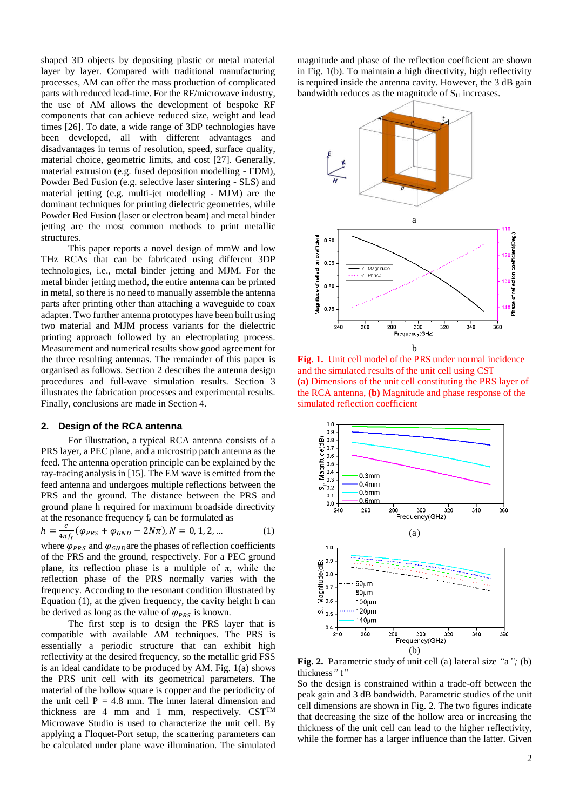shaped 3D objects by depositing plastic or metal material layer by layer. Compared with traditional manufacturing processes, AM can offer the mass production of complicated parts with reduced lead-time. For the RF/microwave industry, the use of AM allows the development of bespoke RF components that can achieve reduced size, weight and lead times [26]. To date, a wide range of 3DP technologies have been developed, all with different advantages and disadvantages in terms of resolution, speed, surface quality, material choice, geometric limits, and cost [27]. Generally, material extrusion (e.g. fused deposition modelling - FDM), Powder Bed Fusion (e.g. selective laser sintering - SLS) and material jetting (e.g. multi-jet modelling - MJM) are the dominant techniques for printing dielectric geometries, while Powder Bed Fusion (laser or electron beam) and metal binder jetting are the most common methods to print metallic structures.

This paper reports a novel design of mmW and low THz RCAs that can be fabricated using different 3DP technologies, i.e., metal binder jetting and MJM. For the metal binder jetting method, the entire antenna can be printed in metal, so there is no need to manually assemble the antenna parts after printing other than attaching a waveguide to coax adapter. Two further antenna prototypes have been built using two material and MJM process variants for the dielectric printing approach followed by an electroplating process. Measurement and numerical results show good agreement for the three resulting antennas. The remainder of this paper is organised as follows. Section 2 describes the antenna design procedures and full-wave simulation results. Section 3 illustrates the fabrication processes and experimental results. Finally, conclusions are made in Section 4.

#### **2. Design of the RCA antenna**

For illustration, a typical RCA antenna consists of a PRS layer, a PEC plane, and a microstrip patch antenna as the feed. The antenna operation principle can be explained by the ray-tracing analysis in [15]. The EM wave is emitted from the feed antenna and undergoes multiple reflections between the PRS and the ground. The distance between the PRS and ground plane h required for maximum broadside directivity at the resonance frequency fr can be formulated as

$$
h = \frac{c}{4\pi\epsilon} (\varphi_{PRS} + \varphi_{GND} - 2N\pi), N = 0, 1, 2, ... \tag{1}
$$

where  $\varphi_{PRS}$  and  $\varphi_{GND}$  are the phases of reflection coefficients of the PRS and the ground, respectively. For a PEC ground plane, its reflection phase is a multiple of  $\pi$ , while the reflection phase of the PRS normally varies with the frequency. According to the resonant condition illustrated by Equation (1), at the given frequency, the cavity height h can be derived as long as the value of  $\varphi_{PRS}$  is known.

The first step is to design the PRS layer that is compatible with available AM techniques. The PRS is essentially a periodic structure that can exhibit high reflectivity at the desired frequency, so the metallic grid FSS is an ideal candidate to be produced by AM. Fig. 1(a) shows the PRS unit cell with its geometrical parameters. The material of the hollow square is copper and the periodicity of the unit cell  $P = 4.8$  mm. The inner lateral dimension and thickness are 4 mm and 1 mm, respectively.  $CST^{TM}$ Microwave Studio is used to characterize the unit cell. By applying a Floquet-Port setup, the scattering parameters can be calculated under plane wave illumination. The simulated

magnitude and phase of the reflection coefficient are shown in Fig. 1(b). To maintain a high directivity, high reflectivity is required inside the antenna cavity. However, the 3 dB gain bandwidth reduces as the magnitude of  $S_{11}$  increases.



**Fig. 1.** Unit cell model of the PRS under normal incidence and the simulated results of the unit cell using CST **(a)** Dimensions of the unit cell constituting the PRS layer of the RCA antenna, **(b)** Magnitude and phase response of the simulated reflection coefficient



**Fig. 2.** Parametric study of unit cell (a) lateral size *"*a*";* (b) thickness*"* t*"*

So the design is constrained within a trade-off between the peak gain and 3 dB bandwidth. Parametric studies of the unit cell dimensions are shown in Fig. 2. The two figures indicate that decreasing the size of the hollow area or increasing the thickness of the unit cell can lead to the higher reflectivity, while the former has a larger influence than the latter. Given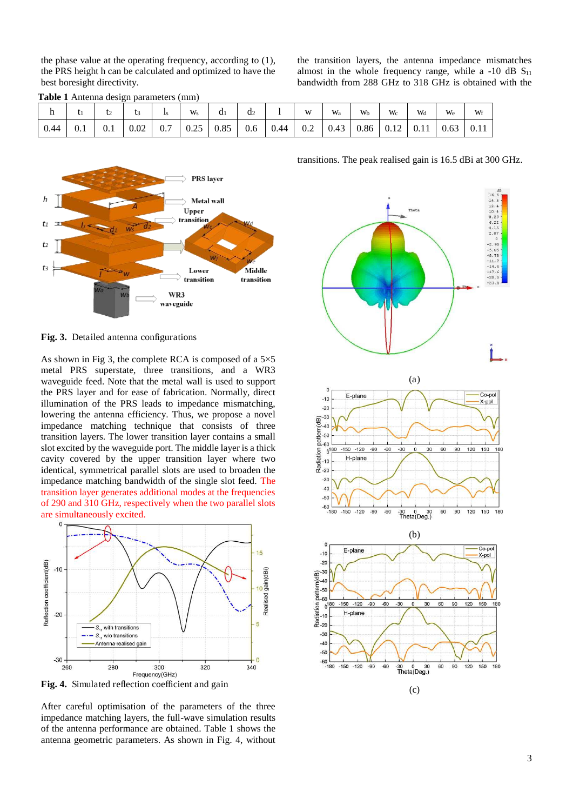the phase value at the operating frequency, according to (1), the PRS height h can be calculated and optimized to have the best boresight directivity.

**Table 1** Antenna design parameters (mm)

the transition layers, the antenna impedance mismatches almost in the whole frequency range, while a -10 dB  $S<sub>11</sub>$ bandwidth from 288 GHz to 318 GHz is obtained with the

|      |     | ۰∠  |      |     | $W_{S}$ | d <sub>1</sub> | d2  |      | W   | W <sub>a</sub> | Wb   | $W_c$ | Wd   | $W_{e}$ | Wf   |
|------|-----|-----|------|-----|---------|----------------|-----|------|-----|----------------|------|-------|------|---------|------|
| 0.44 | 0.1 | 0.1 | 0.02 | 0.7 | 0.25    | 0.85           | 0.6 | 0.44 | 0.2 | 0.43           | 0.86 | 0.12  | 0.11 | 0.63    | 0.11 |



**Fig. 3.** Detailed antenna configurations

As shown in Fig 3, the complete RCA is composed of a  $5\times5$ metal PRS superstate, three transitions, and a WR3 waveguide feed. Note that the metal wall is used to support the PRS layer and for ease of fabrication. Normally, direct illumination of the PRS leads to impedance mismatching, lowering the antenna efficiency. Thus, we propose a novel impedance matching technique that consists of three transition layers. The lower transition layer contains a small slot excited by the waveguide port. The middle layer is a thick cavity covered by the upper transition layer where two identical, symmetrical parallel slots are used to broaden the impedance matching bandwidth of the single slot feed. The transition layer generates additional modes at the frequencies of 290 and 310 GHz, respectively when the two parallel slots are simultaneously excited.



**Fig. 4.** Simulated reflection coefficient and gain

After careful optimisation of the parameters of the three impedance matching layers, the full-wave simulation results of the antenna performance are obtained. Table 1 shows the antenna geometric parameters. As shown in Fig. 4, without



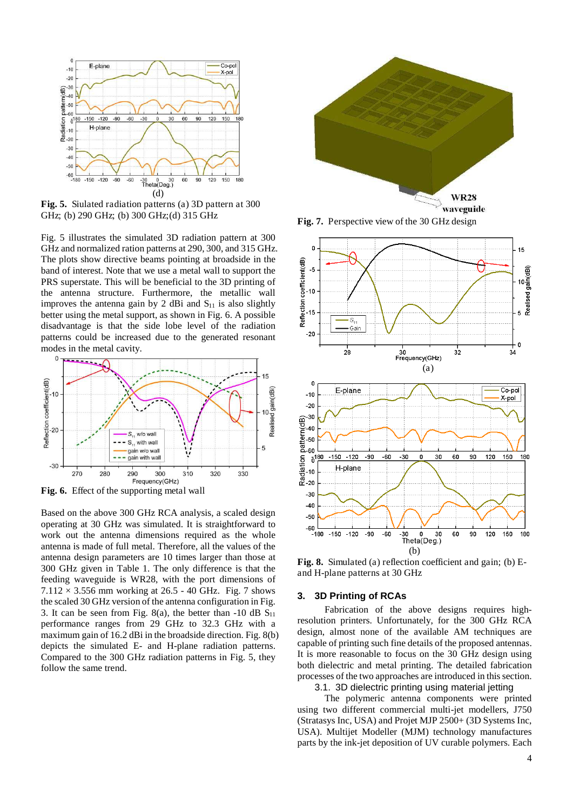

**Fig. 5.** Siulated radiation patterns (a) 3D pattern at 300 GHz; (b) 290 GHz; (b) 300 GHz;(d) 315 GHz

Fig. 5 illustrates the simulated 3D radiation pattern at 300 GHz and normalized ration patterns at 290, 300, and 315 GHz. The plots show directive beams pointing at broadside in the band of interest. Note that we use a metal wall to support the PRS superstate. This will be beneficial to the 3D printing of the antenna structure. Furthermore, the metallic wall improves the antenna gain by 2 dBi and  $S_{11}$  is also slightly better using the metal support, as shown in Fig. 6. A possible disadvantage is that the side lobe level of the radiation patterns could be increased due to the generated resonant modes in the metal cavity.



**Fig. 6.** Effect of the supporting metal wall

Based on the above 300 GHz RCA analysis, a scaled design operating at 30 GHz was simulated. It is straightforward to work out the antenna dimensions required as the whole antenna is made of full metal. Therefore, all the values of the antenna design parameters are 10 times larger than those at 300 GHz given in Table 1. The only difference is that the feeding waveguide is WR28, with the port dimensions of  $7.112 \times 3.556$  mm working at 26.5 - 40 GHz. Fig. 7 shows the scaled 30 GHz version of the antenna configuration in Fig. 3. It can be seen from Fig. 8(a), the better than  $-10$  dB  $S_{11}$ performance ranges from 29 GHz to 32.3 GHz with a maximum gain of 16.2 dBi in the broadside direction. Fig. 8(b) depicts the simulated E- and H-plane radiation patterns. Compared to the 300 GHz radiation patterns in Fig. 5, they follow the same trend.



**Fig. 7.** Perspective view of the 30 GHz design



**Fig. 8.** Simulated (a) reflection coefficient and gain; (b) Eand H-plane patterns at 30 GHz

#### **3. 3D Printing of RCAs**

Fabrication of the above designs requires highresolution printers. Unfortunately, for the 300 GHz RCA design, almost none of the available AM techniques are capable of printing such fine details of the proposed antennas. It is more reasonable to focus on the 30 GHz design using both dielectric and metal printing. The detailed fabrication processes of the two approaches are introduced in this section.

3.1. 3D dielectric printing using material jetting

The polymeric antenna components were printed using two different commercial multi-jet modellers, J750 (Stratasys Inc, USA) and Projet MJP 2500+ (3D Systems Inc, USA). Multijet Modeller (MJM) technology manufactures parts by the ink-jet deposition of UV curable polymers. Each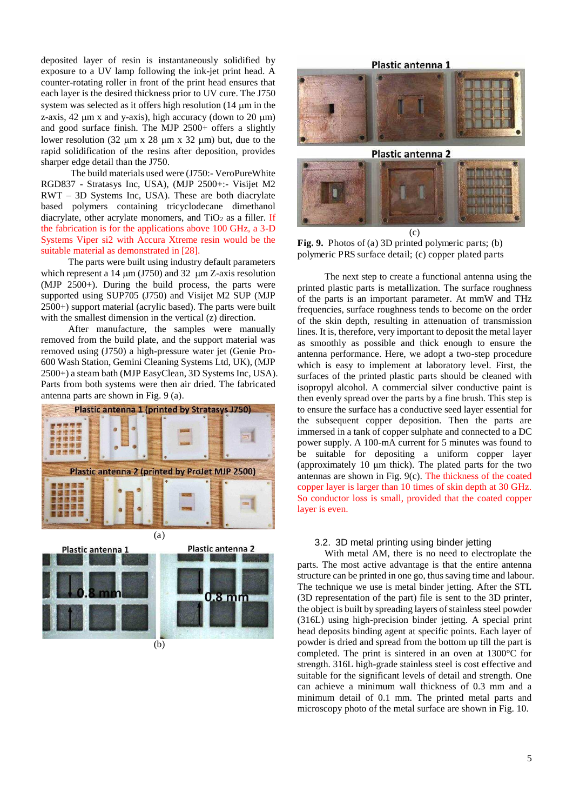deposited layer of resin is instantaneously solidified by exposure to a UV lamp following the ink-jet print head. A counter-rotating roller in front of the print head ensures that each layer is the desired thickness prior to UV cure. The J750 system was selected as it offers high resolution  $(14 \mu m)$  in the z-axis, 42  $\mu$ m x and y-axis), high accuracy (down to 20  $\mu$ m) and good surface finish. The MJP 2500+ offers a slightly lower resolution (32  $\mu$ m x 28  $\mu$ m x 32  $\mu$ m) but, due to the rapid solidification of the resins after deposition, provides sharper edge detail than the J750.

 The build materials used were (J750:- VeroPureWhite RGD837 - Stratasys Inc, USA), (MJP 2500+:- Visijet M2 RWT – 3D Systems Inc, USA). These are both diacrylate based polymers containing tricyclodecane dimethanol diacrylate, other acrylate monomers, and  $TiO<sub>2</sub>$  as a filler. If the fabrication is for the applications above 100 GHz, a 3-D Systems Viper si2 with Accura Xtreme resin would be the suitable material as demonstrated in [28].

The parts were built using industry default parameters which represent a 14  $\mu$ m (J750) and 32  $\mu$ m Z-axis resolution (MJP 2500+). During the build process, the parts were supported using SUP705 (J750) and Visijet M2 SUP (MJP 2500+) support material (acrylic based). The parts were built with the smallest dimension in the vertical (z) direction.

After manufacture, the samples were manually removed from the build plate, and the support material was removed using (J750) a high-pressure water jet (Genie Pro-600 Wash Station, Gemini Cleaning Systems Ltd, UK), (MJP 2500+) a steam bath (MJP EasyClean, 3D Systems Inc, USA). Parts from both systems were then air dried. The fabricated antenna parts are shown in Fig. 9 (a).







**Fig. 9.** Photos of (a) 3D printed polymeric parts; (b) polymeric PRS surface detail; (c) copper plated parts

The next step to create a functional antenna using the printed plastic parts is metallization. The surface roughness of the parts is an important parameter. At mmW and THz frequencies, surface roughness tends to become on the order of the skin depth, resulting in attenuation of transmission lines. It is, therefore, very important to deposit the metal layer as smoothly as possible and thick enough to ensure the antenna performance. Here, we adopt a two-step procedure which is easy to implement at laboratory level. First, the surfaces of the printed plastic parts should be cleaned with isopropyl alcohol. A commercial silver conductive paint is then evenly spread over the parts by a fine brush. This step is to ensure the surface has a conductive seed layer essential for the subsequent copper deposition. Then the parts are immersed in a tank of copper sulphate and connected to a DC power supply. A 100-mA current for 5 minutes was found to be suitable for depositing a uniform copper layer (approximately  $10 \mu m$  thick). The plated parts for the two antennas are shown in Fig. 9(c). The thickness of the coated copper layer is larger than 10 times of skin depth at 30 GHz. So conductor loss is small, provided that the coated copper layer is even.

#### 3.2. 3D metal printing using binder jetting

With metal AM, there is no need to electroplate the parts. The most active advantage is that the entire antenna structure can be printed in one go, thus saving time and labour. The technique we use is metal binder jetting. After the STL (3D representation of the part) file is sent to the 3D printer, the object is built by spreading layers of stainless steel powder (316L) using high-precision binder jetting. A special print head deposits binding agent at specific points. Each layer of powder is dried and spread from the bottom up till the part is completed. The print is sintered in an oven at 1300°C for strength. 316L high-grade stainless steel is cost effective and suitable for the significant levels of detail and strength. One can achieve a minimum wall thickness of 0.3 mm and a minimum detail of 0.1 mm. The printed metal parts and microscopy photo of the metal surface are shown in Fig. 10.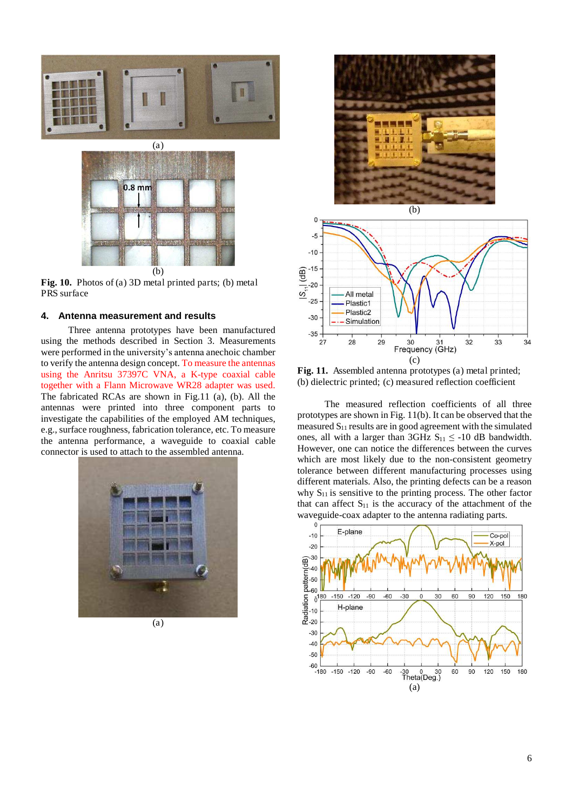

**Fig. 10.** Photos of (a) 3D metal printed parts; (b) metal PRS surface

#### **4. Antenna measurement and results**

Three antenna prototypes have been manufactured using the methods described in Section 3. Measurements were performed in the university's antenna anechoic chamber to verify the antenna design concept. To measure the antennas using the Anritsu 37397C VNA, a K-type coaxial cable together with a Flann Microwave WR28 adapter was used. The fabricated RCAs are shown in Fig.11 (a), (b). All the antennas were printed into three component parts to investigate the capabilities of the employed AM techniques, e.g., surface roughness, fabrication tolerance, etc. To measure the antenna performance, a waveguide to coaxial cable connector is used to attach to the assembled antenna.









**Fig. 11.** Assembled antenna prototypes (a) metal printed; (b) dielectric printed; (c) measured reflection coefficient

The measured reflection coefficients of all three prototypes are shown in Fig. 11(b). It can be observed that the measured  $S_{11}$  results are in good agreement with the simulated ones, all with a larger than 3GHz  $S_{11} \le -10$  dB bandwidth. However, one can notice the differences between the curves which are most likely due to the non-consistent geometry tolerance between different manufacturing processes using different materials. Also, the printing defects can be a reason why  $S_{11}$  is sensitive to the printing process. The other factor that can affect  $S_{11}$  is the accuracy of the attachment of the waveguide-coax adapter to the antenna radiating parts.

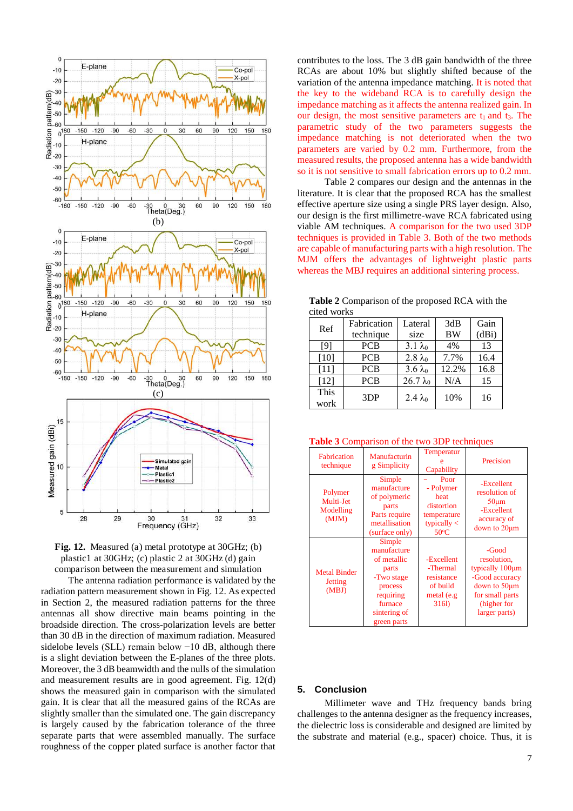



The antenna radiation performance is validated by the radiation pattern measurement shown in Fig. 12. As expected in Section 2, the measured radiation patterns for the three antennas all show directive main beams pointing in the broadside direction. The cross-polarization levels are better than 30 dB in the direction of maximum radiation. Measured sidelobe levels (SLL) remain below −10 dB, although there is a slight deviation between the E-planes of the three plots. Moreover, the 3 dB beamwidth and the nulls of the simulation and measurement results are in good agreement. Fig. 12(d) shows the measured gain in comparison with the simulated gain. It is clear that all the measured gains of the RCAs are slightly smaller than the simulated one. The gain discrepancy is largely caused by the fabrication tolerance of the three separate parts that were assembled manually. The surface roughness of the copper plated surface is another factor that contributes to the loss. The 3 dB gain bandwidth of the three RCAs are about 10% but slightly shifted because of the variation of the antenna impedance matching. It is noted that the key to the wideband RCA is to carefully design the impedance matching as it affects the antenna realized gain. In our design, the most sensitive parameters are  $t_1$  and  $t_3$ . The parametric study of the two parameters suggests the impedance matching is not deteriorated when the two parameters are varied by 0.2 mm. Furthermore, from the measured results, the proposed antenna has a wide bandwidth so it is not sensitive to small fabrication errors up to 0.2 mm.

Table 2 compares our design and the antennas in the literature. It is clear that the proposed RCA has the smallest effective aperture size using a single PRS layer design. Also, our design is the first millimetre-wave RCA fabricated using viable AM techniques. A comparison for the two used 3DP techniques is provided in Table 3. Both of the two methods are capable of manufacturing parts with a high resolution. The MJM offers the advantages of lightweight plastic parts whereas the MBJ requires an additional sintering process.

**Table 2** Comparison of the proposed RCA with the cited works

| Ref    | Fabrication     | Lateral          | 3dB       | Gain  |  |  |  |
|--------|-----------------|------------------|-----------|-------|--|--|--|
|        | technique       | size             | <b>BW</b> | (dBi) |  |  |  |
| [9]    | <b>PCB</b>      | $3.1\lambda_0$   | 4%        | 13    |  |  |  |
| [10]   | <b>PCB</b>      | $2.8 \lambda_0$  | 7.7%      | 16.4  |  |  |  |
| $[11]$ | <b>PCB</b>      | $3.6\lambda_0$   | 12.2%     | 16.8  |  |  |  |
| [12]   | <b>PCB</b>      | $26.7 \lambda_0$ | N/A       | 15    |  |  |  |
| This   | 3 <sub>DP</sub> | $2.4 \lambda_0$  | 10%       | 16    |  |  |  |
| work   |                 |                  |           |       |  |  |  |

**Table 3** Comparison of the two 3DP techniques

| <b>Fabrication</b><br>technique                | Manufacturin<br>g Simplicity                                                                                                  | Temperatur<br>Capability                                                                  | Precision                                                                                                                    |  |
|------------------------------------------------|-------------------------------------------------------------------------------------------------------------------------------|-------------------------------------------------------------------------------------------|------------------------------------------------------------------------------------------------------------------------------|--|
| Polymer<br>Multi-Jet<br>Modelling<br>(MJM)     | Simple<br>manufacture<br>of polymeric<br>parts<br>Parts require<br>metallisation<br>(surface only)                            | Poor<br>- Polymer<br>heat<br>distortion<br>temperature<br>typically $<$<br>$50^{\circ}$ C | -Excellent<br>resolution of<br>$50 \mu m$<br>-Excellent<br>accuracy of<br>down to $20 \mu m$                                 |  |
| <b>Metal Binder</b><br><b>Jetting</b><br>(MBJ) | Simple<br>manufacture<br>of metallic<br>parts<br>-Two stage<br>process<br>requiring<br>furnace<br>sintering of<br>green parts | -Excellent<br>-Thermal<br>resistance<br>of build<br>metal (e.g<br>316l)                   | -Good<br>resolution.<br>typically 100µm<br>-Good accuracy<br>down to 50µm<br>for small parts<br>(higher for<br>larger parts) |  |

#### **5. Conclusion**

Millimeter wave and THz frequency bands bring challenges to the antenna designer as the frequency increases, the dielectric loss is considerable and designed are limited by the substrate and material (e.g., spacer) choice. Thus, it is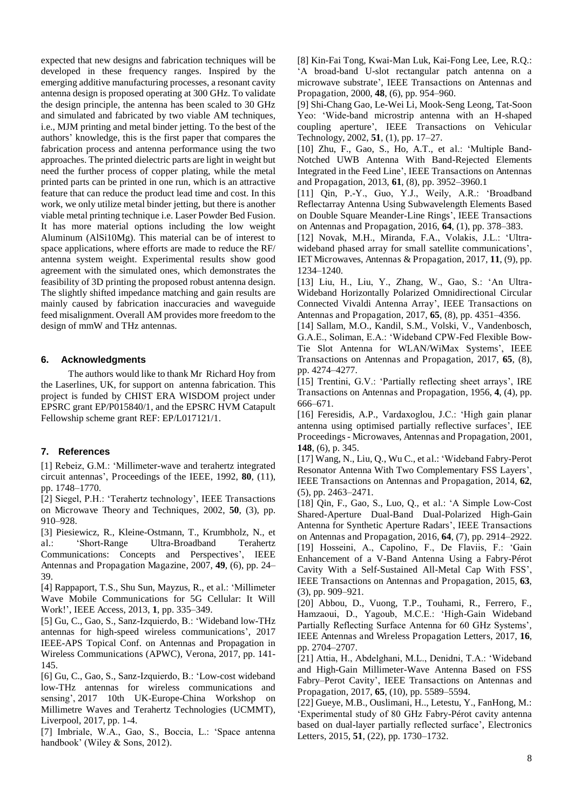expected that new designs and fabrication techniques will be developed in these frequency ranges. Inspired by the emerging additive manufacturing processes, a resonant cavity antenna design is proposed operating at 300 GHz. To validate the design principle, the antenna has been scaled to 30 GHz and simulated and fabricated by two viable AM techniques, i.e., MJM printing and metal binder jetting. To the best of the authors' knowledge, this is the first paper that compares the fabrication process and antenna performance using the two approaches. The printed dielectric parts are light in weight but need the further process of copper plating, while the metal printed parts can be printed in one run, which is an attractive feature that can reduce the product lead time and cost. In this work, we only utilize metal binder jetting, but there is another viable metal printing technique i.e. Laser Powder Bed Fusion. It has more material options including the low weight Aluminum (AlSi10Mg). This material can be of interest to space applications, where efforts are made to reduce the RF/ antenna system weight. Experimental results show good agreement with the simulated ones, which demonstrates the feasibility of 3D printing the proposed robust antenna design. The slightly shifted impedance matching and gain results are mainly caused by fabrication inaccuracies and waveguide feed misalignment. Overall AM provides more freedom to the design of mmW and THz antennas.

#### **6. Acknowledgments**

The authors would like to thank Mr Richard Hoy from the Laserlines, UK, for support on antenna fabrication. This project is funded by CHIST ERA WISDOM project under EPSRC grant EP/P015840/1, and the EPSRC HVM Catapult Fellowship scheme grant REF: EP/L017121/1.

#### **7. References**

[1] Rebeiz, G.M.: 'Millimeter-wave and terahertz integrated circuit antennas', Proceedings of the IEEE, 1992, **80**, (11), pp. 1748–1770.

[2] Siegel, P.H.: 'Terahertz technology', IEEE Transactions on Microwave Theory and Techniques, 2002, **50**, (3), pp. 910–928.

[3] Piesiewicz, R., Kleine-Ostmann, T., Krumbholz, N., et al.: 'Short-Range Ultra-Broadband Terahertz Communications: Concepts and Perspectives', IEEE Antennas and Propagation Magazine, 2007, **49**, (6), pp. 24– 39.

[4] Rappaport, T.S., Shu Sun, Mayzus, R., et al.: 'Millimeter Wave Mobile Communications for 5G Cellular: It Will Work!', IEEE Access, 2013, **1**, pp. 335–349.

[5] Gu, C., Gao, S., Sanz-Izquierdo, B.: 'Wideband low-THz antennas for high-speed wireless communications', 2017 IEEE-APS Topical Conf. on Antennas and Propagation in Wireless Communications (APWC), Verona, 2017, pp. 141- 145.

[6] Gu, C., Gao, S., Sanz-Izquierdo, B.: 'Low-cost wideband low-THz antennas for wireless communications and sensing', 2017 10th UK-Europe-China Workshop on Millimetre Waves and Terahertz Technologies (UCMMT), Liverpool, 2017, pp. 1-4.

[7] Imbriale, W.A., Gao, S., Boccia, L.: 'Space antenna handbook' (Wiley & Sons, 2012).

[8] Kin-Fai Tong, Kwai-Man Luk, Kai-Fong Lee, Lee, R.Q.: 'A broad-band U-slot rectangular patch antenna on a microwave substrate', IEEE Transactions on Antennas and Propagation, 2000, **48**, (6), pp. 954–960.

[9] Shi-Chang Gao, Le-Wei Li, Mook-Seng Leong, Tat-Soon Yeo: 'Wide-band microstrip antenna with an H-shaped coupling aperture', IEEE Transactions on Vehicular Technology, 2002, **51**, (1), pp. 17–27.

 $[10]$  Zhu, F., Gao, S., Ho, A.T., et al.: 'Multiple Band-Notched UWB Antenna With Band-Rejected Elements Integrated in the Feed Line', IEEE Transactions on Antennas and Propagation, 2013, **61**, (8), pp. 3952–3960.1

[11] Qin, P.-Y., Guo, Y.J., Weily, A.R.: 'Broadband Reflectarray Antenna Using Subwavelength Elements Based on Double Square Meander-Line Rings', IEEE Transactions on Antennas and Propagation, 2016, **64**, (1), pp. 378–383.

[12] Novak, M.H., Miranda, F.A., Volakis, J.L.: 'Ultrawideband phased array for small satellite communications', IET Microwaves, Antennas & Propagation, 2017, **11**, (9), pp. 1234–1240.

[13] Liu, H., Liu, Y., Zhang, W., Gao, S.: 'An Ultra-Wideband Horizontally Polarized Omnidirectional Circular Connected Vivaldi Antenna Array', IEEE Transactions on Antennas and Propagation, 2017, **65**, (8), pp. 4351–4356.

[14] Sallam, M.O., Kandil, S.M., Volski, V., Vandenbosch, G.A.E., Soliman, E.A.: 'Wideband CPW-Fed Flexible Bow-Tie Slot Antenna for WLAN/WiMax Systems', IEEE Transactions on Antennas and Propagation, 2017, **65**, (8), pp. 4274–4277.

[15] Trentini, G.V.: 'Partially reflecting sheet arrays', IRE Transactions on Antennas and Propagation, 1956, **4**, (4), pp. 666–671.

[16] Feresidis, A.P., Vardaxoglou, J.C.: 'High gain planar antenna using optimised partially reflective surfaces', IEE Proceedings - Microwaves, Antennas and Propagation, 2001, **148**, (6), p. 345.

[17] Wang, N., Liu, Q., Wu C., et al.: 'Wideband Fabry-Perot Resonator Antenna With Two Complementary FSS Layers', IEEE Transactions on Antennas and Propagation, 2014, **62**, (5), pp. 2463–2471.

[18] Qin, F., Gao, S., Luo, Q., et al.: 'A Simple Low-Cost Shared-Aperture Dual-Band Dual-Polarized High-Gain Antenna for Synthetic Aperture Radars', IEEE Transactions on Antennas and Propagation, 2016, **64**, (7), pp. 2914–2922. [19] Hosseini, A., Capolino, F., De Flaviis, F.: 'Gain Enhancement of a V-Band Antenna Using a Fabry-Pérot Cavity With a Self-Sustained All-Metal Cap With FSS', IEEE Transactions on Antennas and Propagation, 2015, **63**, (3), pp. 909–921.

[20] Abbou, D., Vuong, T.P., Touhami, R., Ferrero, F., Hamzaoui, D., Yagoub, M.C.E.: 'High-Gain Wideband Partially Reflecting Surface Antenna for 60 GHz Systems', IEEE Antennas and Wireless Propagation Letters, 2017, **16**, pp. 2704–2707.

[21] Attia, H., Abdelghani, M.L., Denidni, T.A.: 'Wideband and High-Gain Millimeter-Wave Antenna Based on FSS Fabry–Perot Cavity', IEEE Transactions on Antennas and Propagation, 2017, **65**, (10), pp. 5589–5594.

[22] Gueye, M.B., Ouslimani, H.., Letestu, Y., FanHong, M.: 'Experimental study of 80 GHz Fabry-Pérot cavity antenna based on dual-layer partially reflected surface', Electronics Letters, 2015, **51**, (22), pp. 1730–1732.